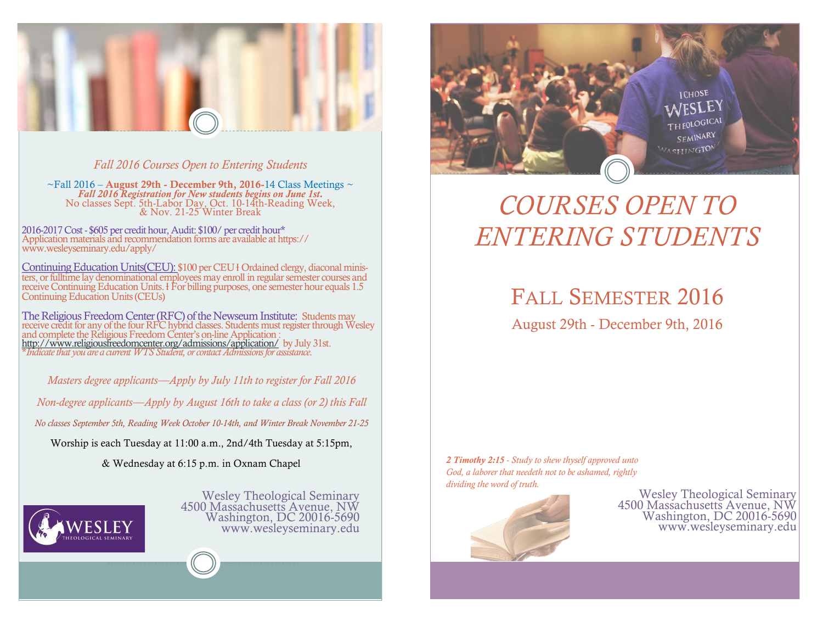

*Fall 2016 Courses Open to Entering Students*

 $\sim$ Fall 2016 – August 29th - December 9th, 2016-14 Class Meetings  $\sim$ *Fall 2016 Registration for New students begins on June 1st.*  No classes Sept. 5th-Labor Day, Oct. 10-14th-Reading Week, & Nov. 21-25 Winter Break

2016-2017 Cost - \$605 per credit hour, Audit: \$100/ per credit hour\* Application materials and recommendation forms are available at https:// www.wesleyseminary.edu/apply/

Continuing Education Units(CEU): \$100 per CEU HOrdained clergy, diaconal ministers, or fulltime lay denominational employees may enroll in regular semester courses and receive Continuing Education Units. *H* For billing purposes, one semester hour equals 1.5 Continuing Education Units (CEUs)

The Religious Freedom Center (RFC) of the Newseum Institute: Students may receive credit for any of the four RFC hybrid classes. Students must register through Wesley and complete the Religious Freedom Center's on-line Application : <http://www.religiousfreedomcenter.org/admissions/application/>by July 31st. \**Indicate that you are a current WTS Student, or contact Admissions for assistance*.

*Masters degree applicants—Apply by July 11th to register for Fall 2016* 

*Non-degree applicants—Apply by August 16th to take a class (or 2) this Fall*

*No classes September 5th, Reading Week October 10-14th, and Winter Break November 21-25*

Worship is each Tuesday at 11:00 a.m., 2nd/4th Tuesday at 5:15pm,

& Wednesday at 6:15 p.m. in Oxnam Chapel



Wesley Theological Seminary 4500 Massachusetts Avenue, NW Washington, DC 20016-5690 www.wesleyseminary.edu



# *COURSES OPEN TO ENTERING STUDENTS*

FALL SEMESTER 2016

August 29th - December 9th, 2016

*2 Timothy 2:15 - Study to shew thyself approved unto God, a laborer that needeth not to be ashamed, rightly dividing the word of truth.* 



Wesley Theological Seminary 4500 Massachusetts Avenue, NW Washington, DC 20016-5690 www.wesleyseminary.edu